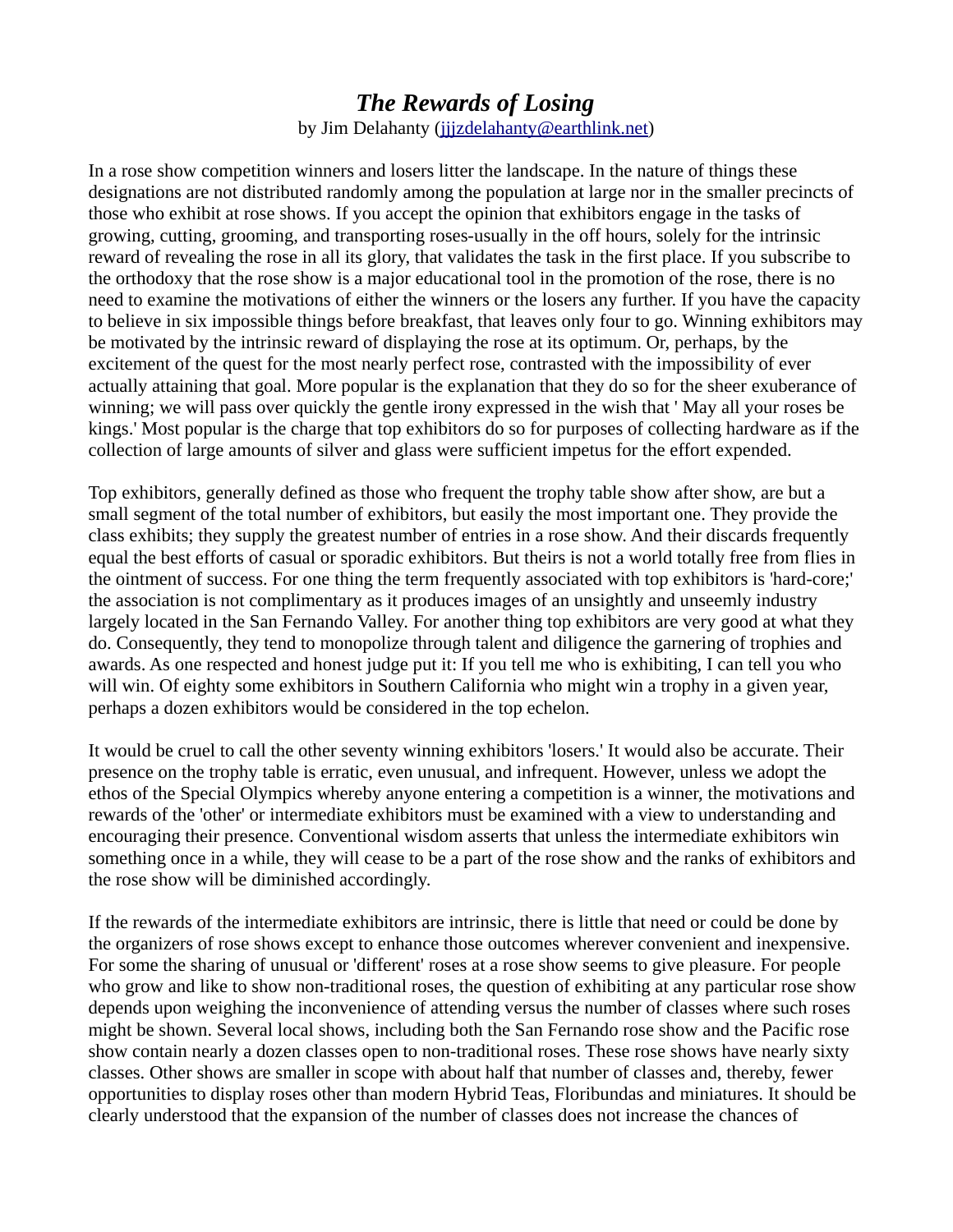## *The Rewards of Losing* by Jim Delahanty (jjjzdelahanty@earthlink.net)

In a rose show competition winners and losers litter the landscape. In the nature of things these designations are not distributed randomly among the population at large nor in the smaller precincts of those who exhibit at rose shows. If you accept the opinion that exhibitors engage in the tasks of growing, cutting, grooming, and transporting roses-usually in the off hours, solely for the intrinsic reward of revealing the rose in all its glory, that validates the task in the first place. If you subscribe to the orthodoxy that the rose show is a major educational tool in the promotion of the rose, there is no need to examine the motivations of either the winners or the losers any further. If you have the capacity to believe in six impossible things before breakfast, that leaves only four to go. Winning exhibitors may be motivated by the intrinsic reward of displaying the rose at its optimum. Or, perhaps, by the excitement of the quest for the most nearly perfect rose, contrasted with the impossibility of ever actually attaining that goal. More popular is the explanation that they do so for the sheer exuberance of winning; we will pass over quickly the gentle irony expressed in the wish that ' May all your roses be kings.' Most popular is the charge that top exhibitors do so for purposes of collecting hardware as if the collection of large amounts of silver and glass were sufficient impetus for the effort expended.

Top exhibitors, generally defined as those who frequent the trophy table show after show, are but a small segment of the total number of exhibitors, but easily the most important one. They provide the class exhibits; they supply the greatest number of entries in a rose show. And their discards frequently equal the best efforts of casual or sporadic exhibitors. But theirs is not a world totally free from flies in the ointment of success. For one thing the term frequently associated with top exhibitors is 'hard-core;' the association is not complimentary as it produces images of an unsightly and unseemly industry largely located in the San Fernando Valley. For another thing top exhibitors are very good at what they do. Consequently, they tend to monopolize through talent and diligence the garnering of trophies and awards. As one respected and honest judge put it: If you tell me who is exhibiting, I can tell you who will win. Of eighty some exhibitors in Southern California who might win a trophy in a given year, perhaps a dozen exhibitors would be considered in the top echelon.

It would be cruel to call the other seventy winning exhibitors 'losers.' It would also be accurate. Their presence on the trophy table is erratic, even unusual, and infrequent. However, unless we adopt the ethos of the Special Olympics whereby anyone entering a competition is a winner, the motivations and rewards of the 'other' or intermediate exhibitors must be examined with a view to understanding and encouraging their presence. Conventional wisdom asserts that unless the intermediate exhibitors win something once in a while, they will cease to be a part of the rose show and the ranks of exhibitors and the rose show will be diminished accordingly.

If the rewards of the intermediate exhibitors are intrinsic, there is little that need or could be done by the organizers of rose shows except to enhance those outcomes wherever convenient and inexpensive. For some the sharing of unusual or 'different' roses at a rose show seems to give pleasure. For people who grow and like to show non-traditional roses, the question of exhibiting at any particular rose show depends upon weighing the inconvenience of attending versus the number of classes where such roses might be shown. Several local shows, including both the San Fernando rose show and the Pacific rose show contain nearly a dozen classes open to non-traditional roses. These rose shows have nearly sixty classes. Other shows are smaller in scope with about half that number of classes and, thereby, fewer opportunities to display roses other than modern Hybrid Teas, Floribundas and miniatures. It should be clearly understood that the expansion of the number of classes does not increase the chances of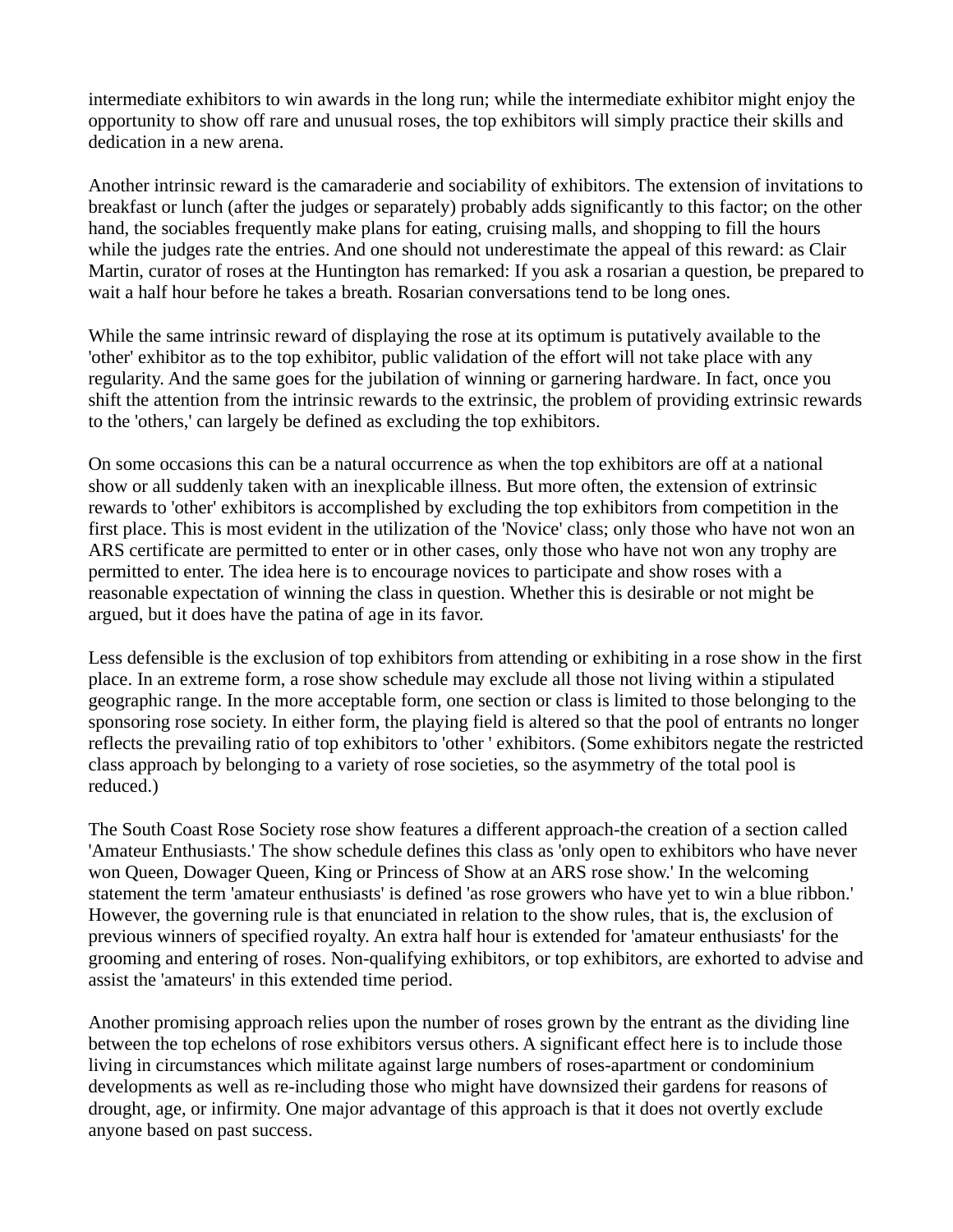intermediate exhibitors to win awards in the long run; while the intermediate exhibitor might enjoy the opportunity to show off rare and unusual roses, the top exhibitors will simply practice their skills and dedication in a new arena.

Another intrinsic reward is the camaraderie and sociability of exhibitors. The extension of invitations to breakfast or lunch (after the judges or separately) probably adds significantly to this factor; on the other hand, the sociables frequently make plans for eating, cruising malls, and shopping to fill the hours while the judges rate the entries. And one should not underestimate the appeal of this reward: as Clair Martin, curator of roses at the Huntington has remarked: If you ask a rosarian a question, be prepared to wait a half hour before he takes a breath. Rosarian conversations tend to be long ones.

While the same intrinsic reward of displaying the rose at its optimum is putatively available to the 'other' exhibitor as to the top exhibitor, public validation of the effort will not take place with any regularity. And the same goes for the jubilation of winning or garnering hardware. In fact, once you shift the attention from the intrinsic rewards to the extrinsic, the problem of providing extrinsic rewards to the 'others,' can largely be defined as excluding the top exhibitors.

On some occasions this can be a natural occurrence as when the top exhibitors are off at a national show or all suddenly taken with an inexplicable illness. But more often, the extension of extrinsic rewards to 'other' exhibitors is accomplished by excluding the top exhibitors from competition in the first place. This is most evident in the utilization of the 'Novice' class; only those who have not won an ARS certificate are permitted to enter or in other cases, only those who have not won any trophy are permitted to enter. The idea here is to encourage novices to participate and show roses with a reasonable expectation of winning the class in question. Whether this is desirable or not might be argued, but it does have the patina of age in its favor.

Less defensible is the exclusion of top exhibitors from attending or exhibiting in a rose show in the first place. In an extreme form, a rose show schedule may exclude all those not living within a stipulated geographic range. In the more acceptable form, one section or class is limited to those belonging to the sponsoring rose society. In either form, the playing field is altered so that the pool of entrants no longer reflects the prevailing ratio of top exhibitors to 'other ' exhibitors. (Some exhibitors negate the restricted class approach by belonging to a variety of rose societies, so the asymmetry of the total pool is reduced.)

The South Coast Rose Society rose show features a different approach-the creation of a section called 'Amateur Enthusiasts.' The show schedule defines this class as 'only open to exhibitors who have never won Queen, Dowager Queen, King or Princess of Show at an ARS rose show.' In the welcoming statement the term 'amateur enthusiasts' is defined 'as rose growers who have yet to win a blue ribbon.' However, the governing rule is that enunciated in relation to the show rules, that is, the exclusion of previous winners of specified royalty. An extra half hour is extended for 'amateur enthusiasts' for the grooming and entering of roses. Non-qualifying exhibitors, or top exhibitors, are exhorted to advise and assist the 'amateurs' in this extended time period.

Another promising approach relies upon the number of roses grown by the entrant as the dividing line between the top echelons of rose exhibitors versus others. A significant effect here is to include those living in circumstances which militate against large numbers of roses-apartment or condominium developments as well as re-including those who might have downsized their gardens for reasons of drought, age, or infirmity. One major advantage of this approach is that it does not overtly exclude anyone based on past success.